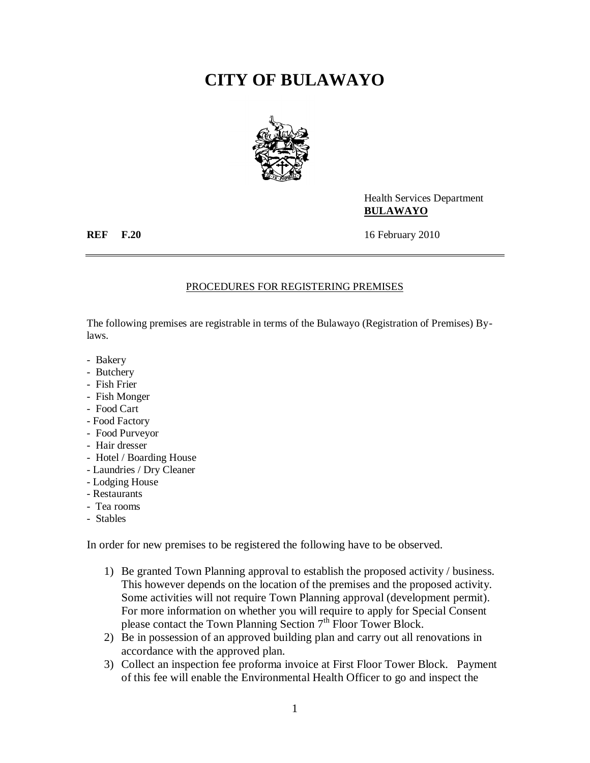## **CITY OF BULAWAYO**



Health Services Department **BULAWAYO**

**REF F.20** 16 February 2010

## PROCEDURES FOR REGISTERING PREMISES

The following premises are registrable in terms of the Bulawayo (Registration of Premises) Bylaws.

- Bakery
- Butchery
- Fish Frier
- Fish Monger
- Food Cart
- Food Factory
- Food Purveyor
- Hair dresser
- Hotel / Boarding House
- Laundries / Dry Cleaner
- Lodging House
- Restaurants
- Tea rooms
- Stables

In order for new premises to be registered the following have to be observed.

- 1) Be granted Town Planning approval to establish the proposed activity / business. This however depends on the location of the premises and the proposed activity. Some activities will not require Town Planning approval (development permit). For more information on whether you will require to apply for Special Consent please contact the Town Planning Section  $7<sup>th</sup>$  Floor Tower Block.
- 2) Be in possession of an approved building plan and carry out all renovations in accordance with the approved plan.
- 3) Collect an inspection fee proforma invoice at First Floor Tower Block. Payment of this fee will enable the Environmental Health Officer to go and inspect the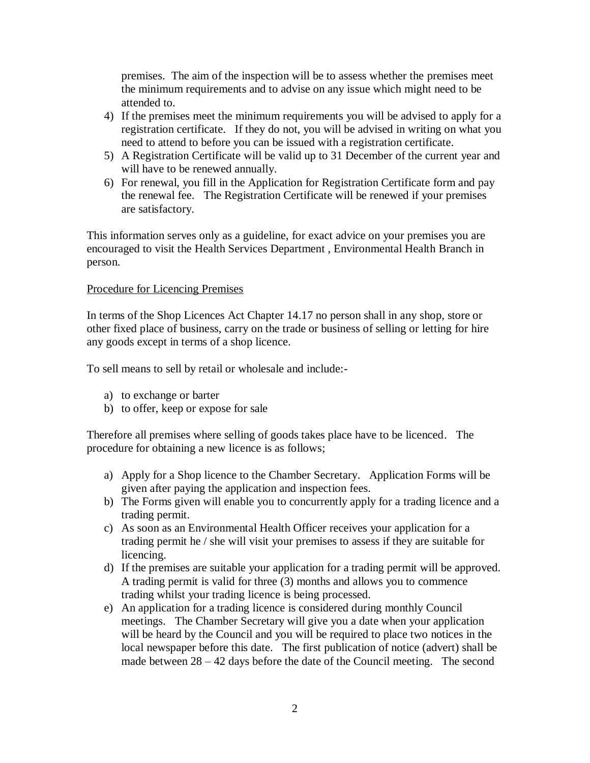premises. The aim of the inspection will be to assess whether the premises meet the minimum requirements and to advise on any issue which might need to be attended to.

- 4) If the premises meet the minimum requirements you will be advised to apply for a registration certificate. If they do not, you will be advised in writing on what you need to attend to before you can be issued with a registration certificate.
- 5) A Registration Certificate will be valid up to 31 December of the current year and will have to be renewed annually.
- 6) For renewal, you fill in the Application for Registration Certificate form and pay the renewal fee. The Registration Certificate will be renewed if your premises are satisfactory.

This information serves only as a guideline, for exact advice on your premises you are encouraged to visit the Health Services Department , Environmental Health Branch in person.

## Procedure for Licencing Premises

In terms of the Shop Licences Act Chapter 14.17 no person shall in any shop, store or other fixed place of business, carry on the trade or business of selling or letting for hire any goods except in terms of a shop licence.

To sell means to sell by retail or wholesale and include:-

- a) to exchange or barter
- b) to offer, keep or expose for sale

Therefore all premises where selling of goods takes place have to be licenced. The procedure for obtaining a new licence is as follows;

- a) Apply for a Shop licence to the Chamber Secretary. Application Forms will be given after paying the application and inspection fees.
- b) The Forms given will enable you to concurrently apply for a trading licence and a trading permit.
- c) As soon as an Environmental Health Officer receives your application for a trading permit he / she will visit your premises to assess if they are suitable for licencing.
- d) If the premises are suitable your application for a trading permit will be approved. A trading permit is valid for three (3) months and allows you to commence trading whilst your trading licence is being processed.
- e) An application for a trading licence is considered during monthly Council meetings. The Chamber Secretary will give you a date when your application will be heard by the Council and you will be required to place two notices in the local newspaper before this date. The first publication of notice (advert) shall be made between  $28 - 42$  days before the date of the Council meeting. The second